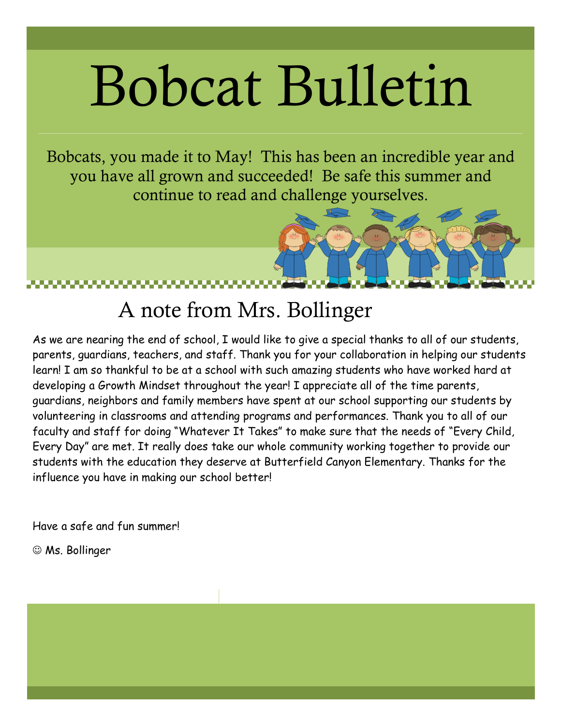# Bobcat Bulletin

Bobcats, you made it to May! This has been an incredible year and you have all grown and succeeded! Be safe this summer and continue to read and challenge yourselves.

### A note from Mrs. Bollinger

As we are nearing the end of school, I would like to give a special thanks to all of our students, parents, guardians, teachers, and staff. Thank you for your collaboration in helping our students learn! I am so thankful to be at a school with such amazing students who have worked hard at developing a Growth Mindset throughout the year! I appreciate all of the time parents, guardians, neighbors and family members have spent at our school supporting our students by volunteering in classrooms and attending programs and performances. Thank you to all of our faculty and staff for doing "Whatever It Takes" to make sure that the needs of "Every Child, Every Day" are met. It really does take our whole community working together to provide our students with the education they deserve at Butterfield Canyon Elementary. Thanks for the influence you have in making our school better!

Have a safe and fun summer!

 $\odot$  Ms. Bollinger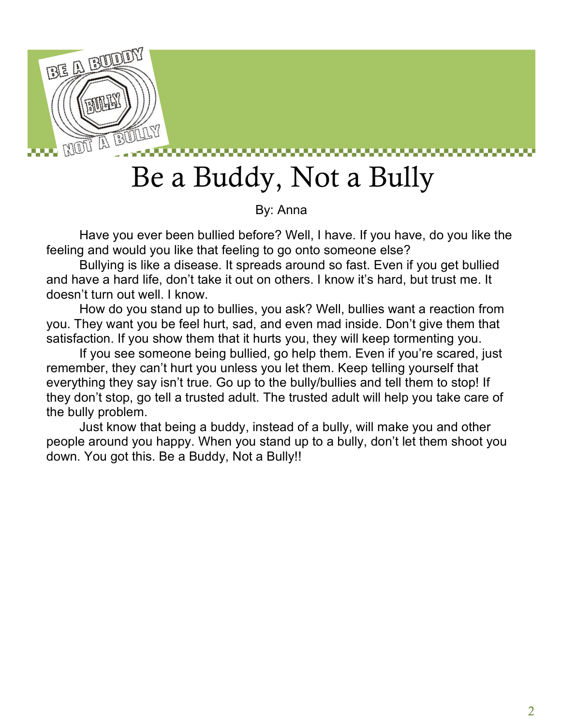

## Be a Buddy, Not a Bully

By: Anna

Have you ever been bullied before? Well, I have. If you have, do you like the feeling and would you like that feeling to go onto someone else?

Bullying is like a disease. It spreads around so fast. Even if you get bullied and have a hard life, don't take it out on others. I know it's hard, but trust me. It doesn't turn out well. I know.

How do you stand up to bullies, you ask? Well, bullies want a reaction from you. They want you be feel hurt, sad, and even mad inside. Don't give them that satisfaction. If you show them that it hurts you, they will keep tormenting you.

If you see someone being bullied, go help them. Even if you're scared, just remember, they can't hurt you unless you let them. Keep telling yourself that everything they say isn't true. Go up to the bully/bullies and tell them to stop! If they don't stop, go tell a trusted adult. The trusted adult will help you take care of the bully problem.

Just know that being a buddy, instead of a bully, will make you and other people around you happy. When you stand up to a bully, don't let them shoot you down. You got this. Be a Buddy, Not a Bully!!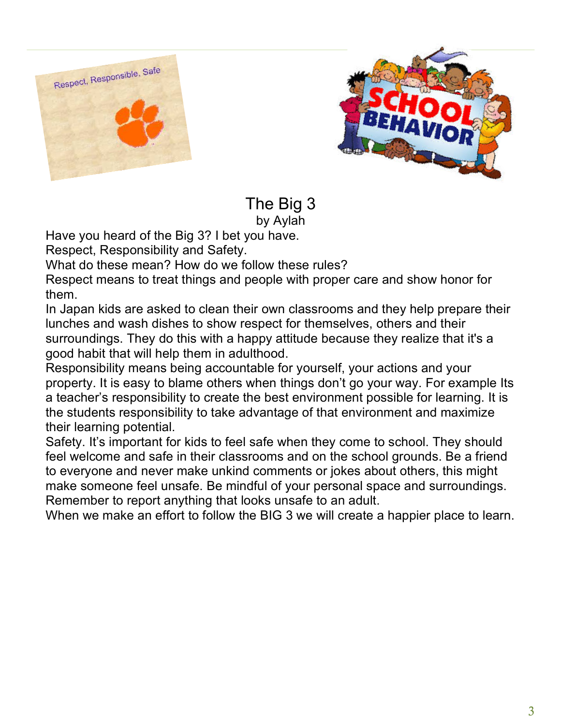



The Big 3 by Aylah

Have you heard of the Big 3? I bet you have.

Respect, Responsibility and Safety.

What do these mean? How do we follow these rules?

Respect means to treat things and people with proper care and show honor for them.

In Japan kids are asked to clean their own classrooms and they help prepare their lunches and wash dishes to show respect for themselves, others and their surroundings. They do this with a happy attitude because they realize that it's a good habit that will help them in adulthood.

Responsibility means being accountable for yourself, your actions and your property. It is easy to blame others when things don't go your way. For example Its a teacher's responsibility to create the best environment possible for learning. It is the students responsibility to take advantage of that environment and maximize their learning potential.

Safety. It's important for kids to feel safe when they come to school. They should feel welcome and safe in their classrooms and on the school grounds. Be a friend to everyone and never make unkind comments or jokes about others, this might make someone feel unsafe. Be mindful of your personal space and surroundings. Remember to report anything that looks unsafe to an adult.

When we make an effort to follow the BIG 3 we will create a happier place to learn.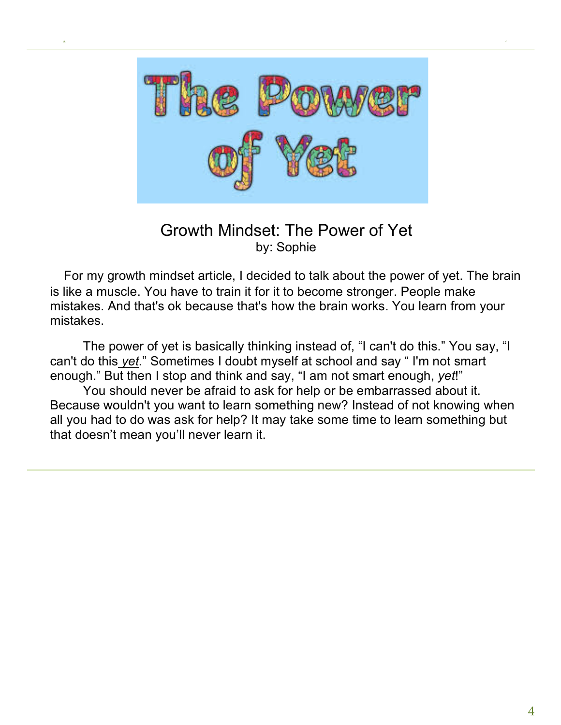

lorem ipsum dolor issue, date

### Growth Mindset: The Power of Yet by: Sophie

 For my growth mindset article, I decided to talk about the power of yet. The brain is like a muscle. You have to train it for it to become stronger. People make mistakes. And that's ok because that's how the brain works. You learn from your mistakes.

The power of yet is basically thinking instead of, "I can't do this." You say, "I can't do this *yet*." Sometimes I doubt myself at school and say " I'm not smart enough." But then I stop and think and say, "I am not smart enough, *yet*!"

You should never be afraid to ask for help or be embarrassed about it. Because wouldn't you want to learn something new? Instead of not knowing when all you had to do was ask for help? It may take some time to learn something but that doesn't mean you'll never learn it.